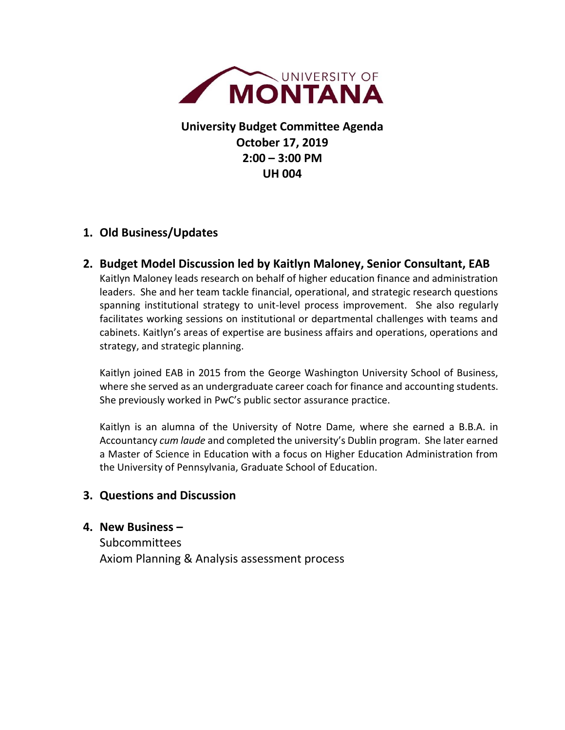

**University Budget Committee Agenda October 17, 2019 2:00 – 3:00 PM UH 004**

# **1. Old Business/Updates**

**2. Budget Model Discussion led by Kaitlyn Maloney, Senior Consultant, EAB** Kaitlyn Maloney leads research on behalf of higher education finance and administration leaders. She and her team tackle financial, operational, and strategic research questions spanning institutional strategy to unit-level process improvement. She also regularly facilitates working sessions on institutional or departmental challenges with teams and cabinets. Kaitlyn's areas of expertise are business affairs and operations, operations and strategy, and strategic planning.

Kaitlyn joined EAB in 2015 from the George Washington University School of Business, where she served as an undergraduate career coach for finance and accounting students. She previously worked in PwC's public sector assurance practice.

Kaitlyn is an alumna of the University of Notre Dame, where she earned a B.B.A. in Accountancy *cum laude* and completed the university's Dublin program. She later earned a Master of Science in Education with a focus on Higher Education Administration from the University of Pennsylvania, Graduate School of Education.

## **3. Questions and Discussion**

#### **4. New Business –**

Subcommittees Axiom Planning & Analysis assessment process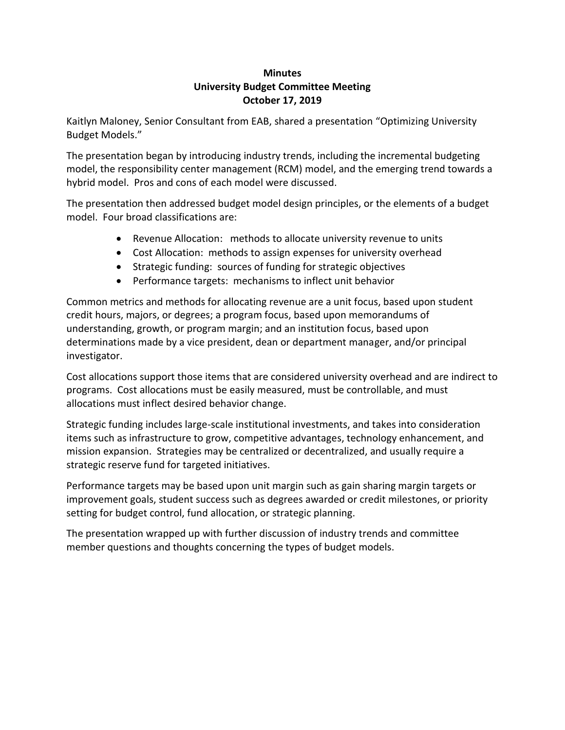#### **Minutes University Budget Committee Meeting October 17, 2019**

Kaitlyn Maloney, Senior Consultant from EAB, shared a presentation "Optimizing University Budget Models."

The presentation began by introducing industry trends, including the incremental budgeting model, the responsibility center management (RCM) model, and the emerging trend towards a hybrid model. Pros and cons of each model were discussed.

The presentation then addressed budget model design principles, or the elements of a budget model. Four broad classifications are:

- Revenue Allocation: methods to allocate university revenue to units
- Cost Allocation: methods to assign expenses for university overhead
- Strategic funding: sources of funding for strategic objectives
- Performance targets: mechanisms to inflect unit behavior

Common metrics and methods for allocating revenue are a unit focus, based upon student credit hours, majors, or degrees; a program focus, based upon memorandums of understanding, growth, or program margin; and an institution focus, based upon determinations made by a vice president, dean or department manager, and/or principal investigator.

Cost allocations support those items that are considered university overhead and are indirect to programs. Cost allocations must be easily measured, must be controllable, and must allocations must inflect desired behavior change.

Strategic funding includes large-scale institutional investments, and takes into consideration items such as infrastructure to grow, competitive advantages, technology enhancement, and mission expansion. Strategies may be centralized or decentralized, and usually require a strategic reserve fund for targeted initiatives.

Performance targets may be based upon unit margin such as gain sharing margin targets or improvement goals, student success such as degrees awarded or credit milestones, or priority setting for budget control, fund allocation, or strategic planning.

The presentation wrapped up with further discussion of industry trends and committee member questions and thoughts concerning the types of budget models.